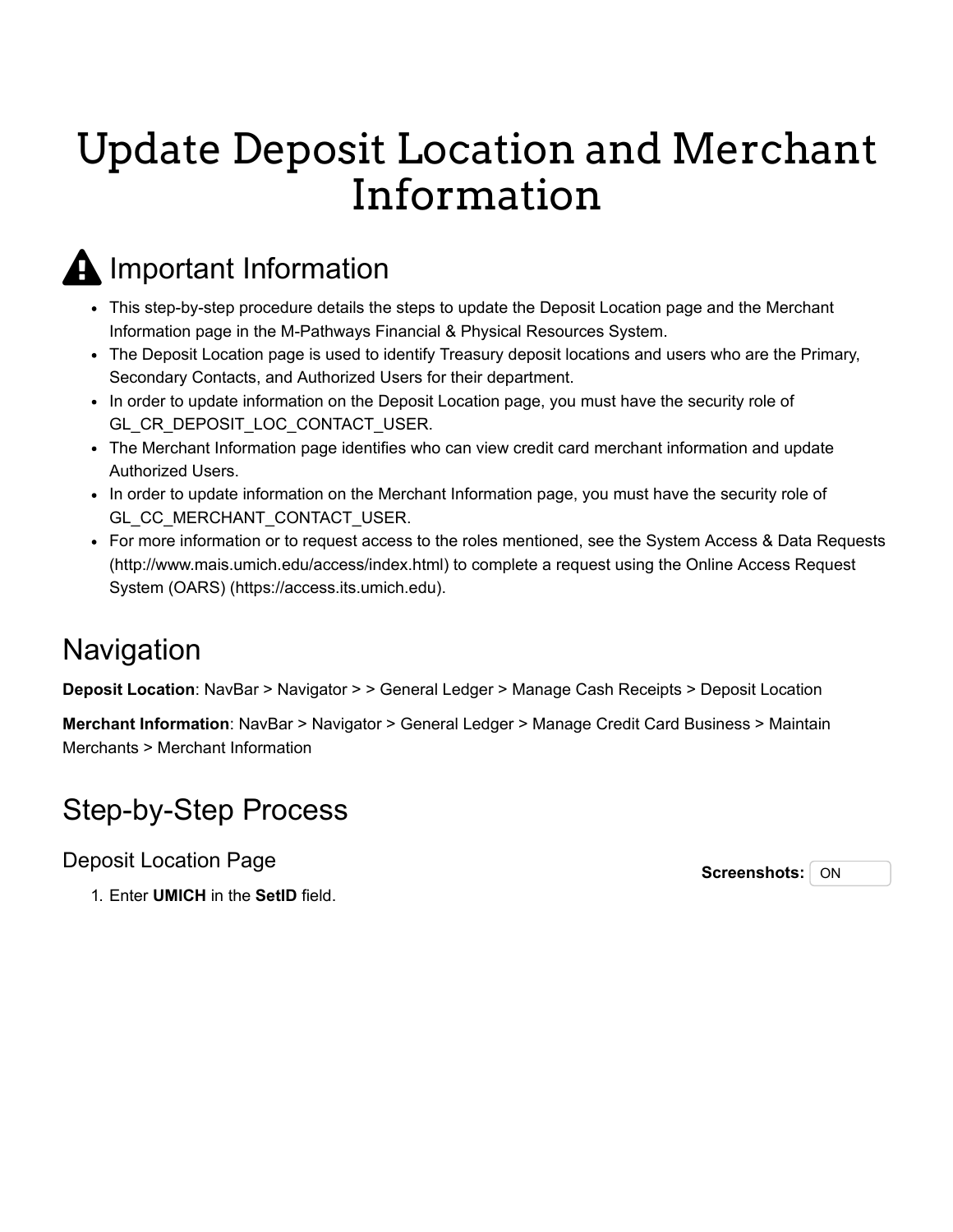# Update Deposit Location and Merchant Information

## **A** Important Information

- This step-by-step procedure details the steps to update the Deposit Location page and the Merchant Information page in the M-Pathways Financial & Physical Resources System.
- The Deposit Location page is used to identify Treasury deposit locations and users who are the Primary, Secondary Contacts, and Authorized Users for their department.
- In order to update information on the Deposit Location page, you must have the security role of GL\_CR\_DEPOSIT\_LOC\_CONTACT\_USER.
- The Merchant Information page identifies who can view credit card merchant information and update Authorized Users.
- In order to update information on the Merchant Information page, you must have the security role of GL\_CC\_MERCHANT\_CONTACT\_USER.
- [For more information or to request access to the roles mentioned, see the System Access & Data Requests](http://www.mais.umich.edu/access/index.html) [\(http://www.mais.umich.edu/access/index.html\) to complete a request using the Online Access Request](https://access.its.umich.edu/) System (OARS) (https://access.its.umich.edu).

### Navigation

**Deposit Location**: NavBar > Navigator > > General Ledger > Manage Cash Receipts > Deposit Location

**Merchant Information**: NavBar > Navigator > General Ledger > Manage Credit Card Business > Maintain Merchants > Merchant Information

### Step-by-Step Process

Deposit Location Page

**Screenshots:** ON

1. Enter **UMICH** in the **SetID** field.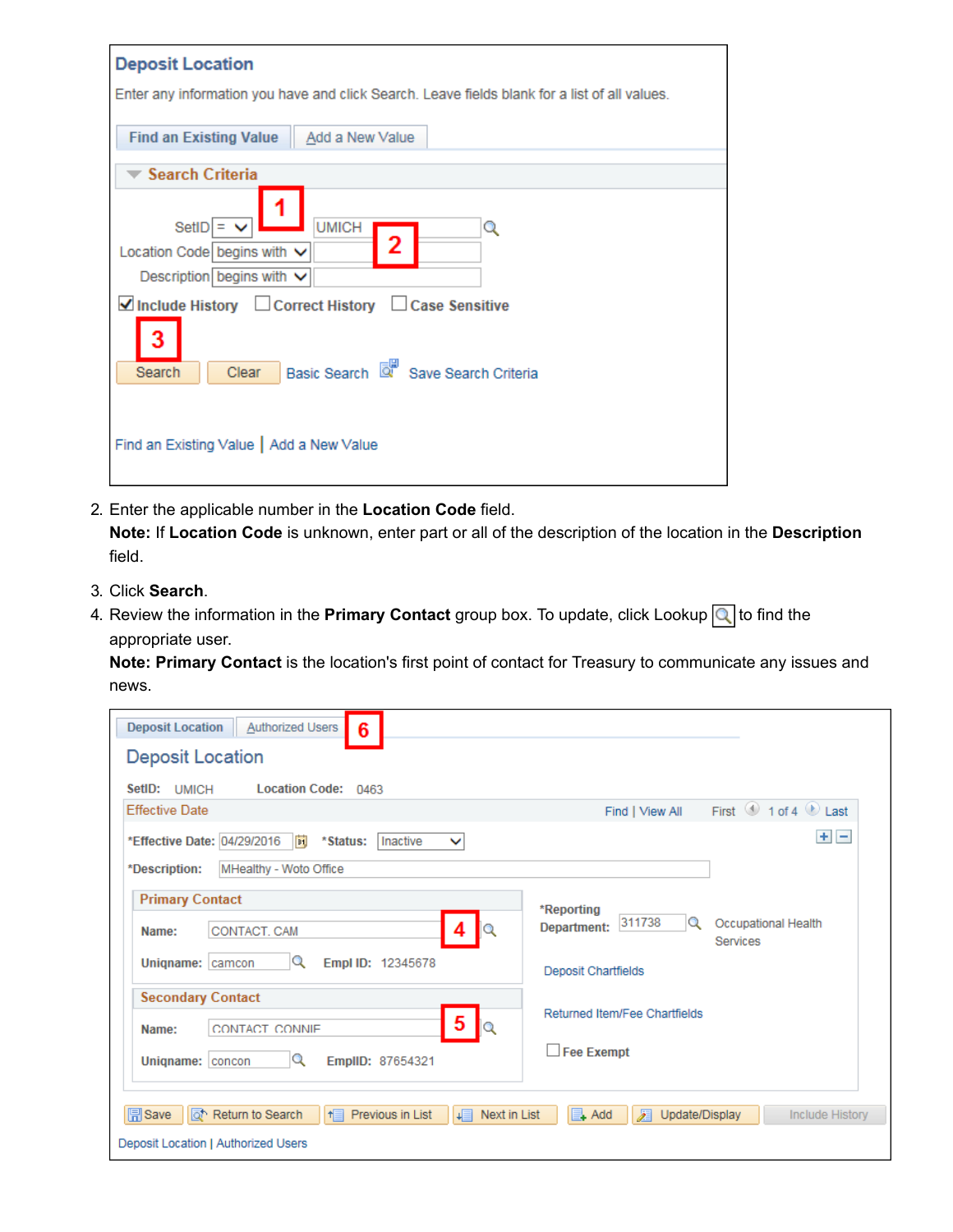| <b>Deposit Location</b>                                                                       |
|-----------------------------------------------------------------------------------------------|
| Enter any information you have and click Search. Leave fields blank for a list of all values. |
|                                                                                               |
| Find an Existing Value   Add a New Value                                                      |
|                                                                                               |
| <b>Search Criteria</b>                                                                        |
|                                                                                               |
| <b>UMICH</b><br>SetID = $\vee$<br>Q                                                           |
| 2<br>Location Code begins with $\vee$                                                         |
| Description begins with $\vee$                                                                |
| ■Include History □ Correct History □ Case Sensitive                                           |
| 3                                                                                             |
| Basic Search <b>&amp;</b> Save Search Criteria<br>Clear<br>Search                             |
|                                                                                               |
| Find an Existing Value   Add a New Value                                                      |
|                                                                                               |
|                                                                                               |

2. Enter the applicable number in the **Location Code** field.

**Note:** If **Location Code** is unknown, enter part or all of the description of the location in the **Description** field.

- 3. Click **Search**.
- 4. Review the information in the **Primary Contact** group box. To update, click Lookup **q** to find the appropriate user.

**Note: Primary Contact** is the location's first point of contact for Treasury to communicate any issues and news.

| <b>Deposit Location</b><br><b>Authorized Users</b><br>6                                                                                        |                                                                      |
|------------------------------------------------------------------------------------------------------------------------------------------------|----------------------------------------------------------------------|
| <b>Deposit Location</b>                                                                                                                        |                                                                      |
| SetID: UMICH<br>Location Code: 0463                                                                                                            |                                                                      |
| <b>Effective Date</b>                                                                                                                          | First 1 of 4 Last<br>Find   View All                                 |
| *Effective Date: 04/29/2016<br>BU<br>Inactive<br>*Status:<br>$\checkmark$                                                                      | $+$ $-$                                                              |
| MHealthy - Woto Office<br>*Description:                                                                                                        |                                                                      |
| <b>Primary Contact</b>                                                                                                                         | *Reporting                                                           |
| Q<br>4<br>CONTACT, CAM<br>Name:                                                                                                                | 311738<br>Q<br>Occupational Health<br>Department:<br><b>Services</b> |
| Q<br>Empl ID: 12345678<br>Unigname: camcon                                                                                                     | <b>Deposit Chartfields</b>                                           |
| <b>Secondary Contact</b>                                                                                                                       | Returned Item/Fee Chartfields                                        |
| $5 \mid_{\mathbb{Q}}$<br>CONTACT CONNIE<br>Name:                                                                                               |                                                                      |
| Q<br>EmpIID: 87654321<br>Unigname:   concon                                                                                                    | $\Box$ Fee Exempt                                                    |
| <b>同</b> Save<br>o <sup>t</sup> Return to Search<br>Previous in List<br>耳<br>Next in List<br>$H \equiv$<br>Deposit Location   Authorized Users | $\Box$ Add<br>Л<br>Update/Display<br><b>Include History</b>          |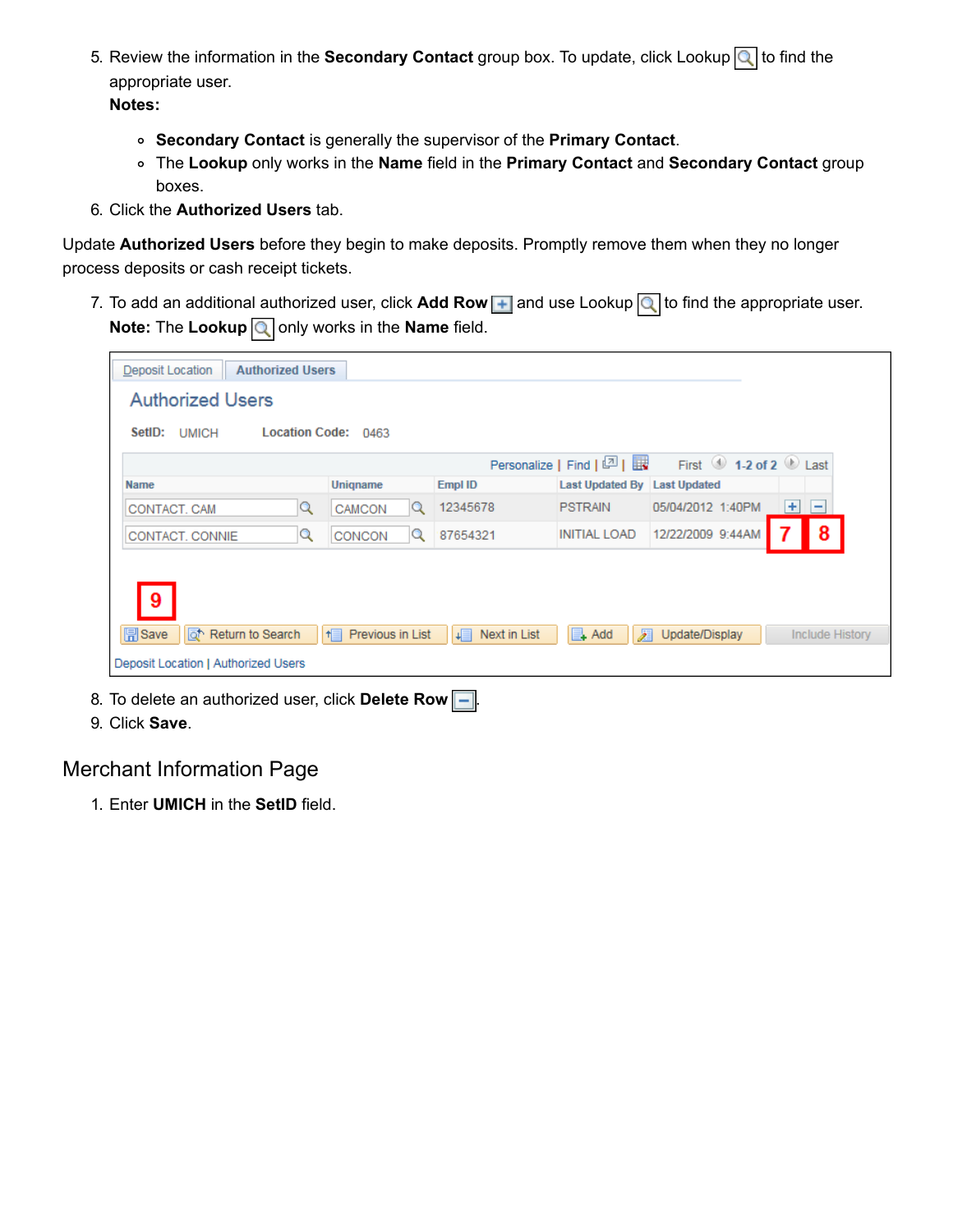- 5. Review the information in the **Secondary Contact** group box. To update, click Lookup **q** to find the appropriate user. **Notes:**
	- **Secondary Contact** is generally the supervisor of the **Primary Contact**.
	- The **Lookup** only works in the **Name** field in the **Primary Contact** and **Secondary Contact** group boxes.
- 6. Click the **Authorized Users** tab.

Update **Authorized Users** before they begin to make deposits. Promptly remove them when they no longer process deposits or cash receipt tickets.

7. To add an additional authorized user, click **Add Row | +** and use Lookup Q to find the appropriate user. **Note:** The Lookup **Q** only works in the **Name** field.

| <b>Authorized Users</b><br>Deposit Location      |                                  |                    |                              |                                           |                        |
|--------------------------------------------------|----------------------------------|--------------------|------------------------------|-------------------------------------------|------------------------|
| <b>Authorized Users</b>                          |                                  |                    |                              |                                           |                        |
| SetID:<br><b>UMICH</b>                           | Location Code: 0463              |                    |                              |                                           |                        |
|                                                  |                                  |                    | Personalize   Find   2       | First $\bigcirc$ 1-2 of 2 $\bigcirc$ Last |                        |
| <b>Name</b>                                      | Unigname                         | Empl ID            | Last Updated By Last Updated |                                           |                        |
| CONTACT, CAM                                     | CAMCON<br>Q<br>Q                 | 12345678           | <b>PSTRAIN</b>               | 05/04/2012 1:40PM                         | $+1$<br>-              |
| CONTACT, CONNIE                                  | Q<br>CONCON<br>Q                 | 87654321           | <b>INITIAL LOAD</b>          | 12/22/2009 9:44AM                         | 8                      |
|                                                  |                                  |                    |                              |                                           |                        |
|                                                  |                                  |                    |                              |                                           |                        |
| 9                                                |                                  |                    |                              |                                           |                        |
| <b>同</b> Save<br>a <sup>+</sup> Return to Search | Previous in List<br>$H_{\rm{H}}$ | +⊟<br>Next in List | $\mathbb{R}$ Add<br>∞        | Update/Display                            | <b>Include History</b> |
| Deposit Location   Authorized Users              |                                  |                    |                              |                                           |                        |

- 8. To delete an authorized user, click **Delete Row**  $\boxed{-}$ .
- 9. Click **Save**.

#### Merchant Information Page

1. Enter **UMICH** in the **SetID** field.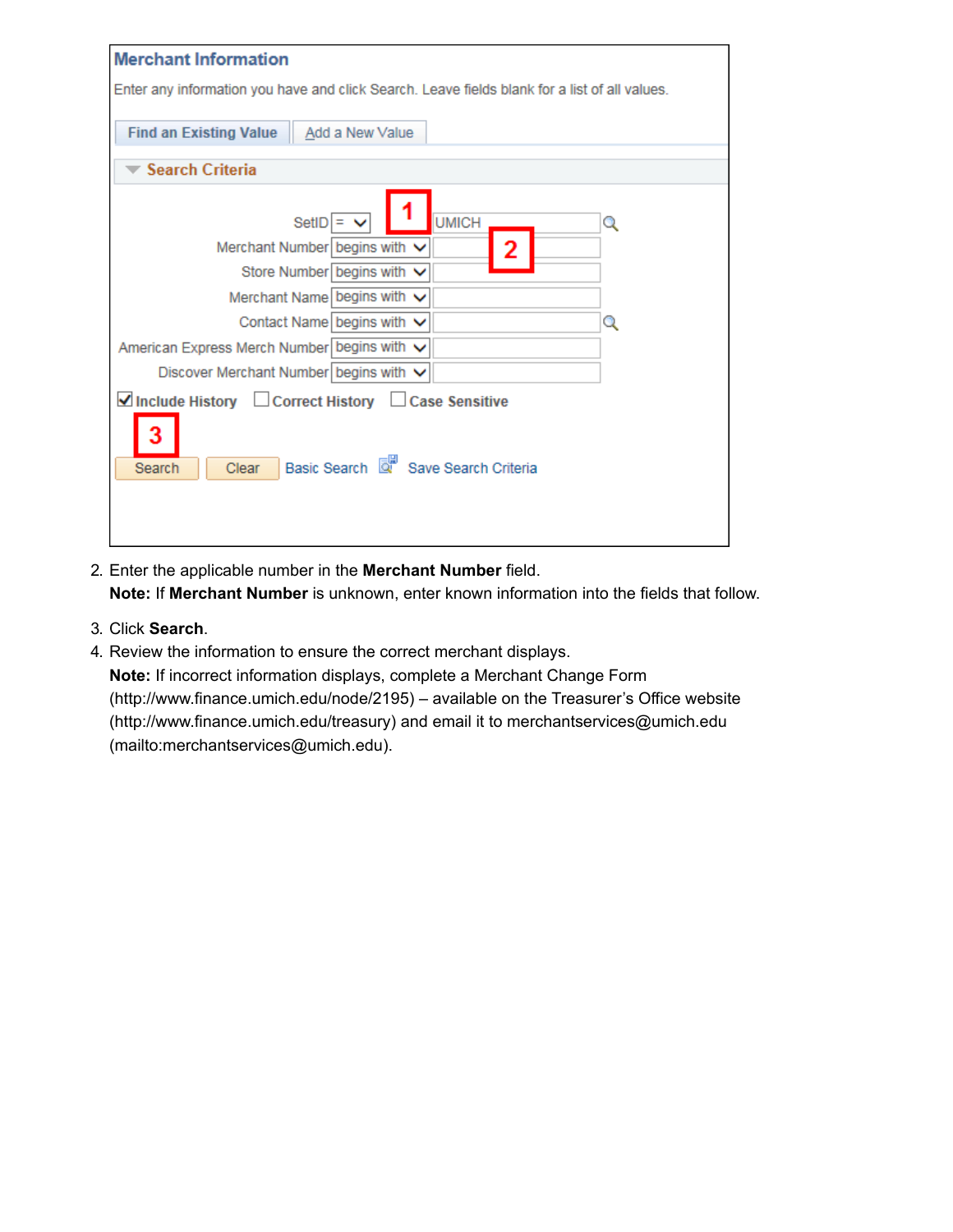| <b>Merchant Information</b>                                                                   |  |  |  |  |  |
|-----------------------------------------------------------------------------------------------|--|--|--|--|--|
|                                                                                               |  |  |  |  |  |
| Enter any information you have and click Search. Leave fields blank for a list of all values. |  |  |  |  |  |
|                                                                                               |  |  |  |  |  |
| <b>Find an Existing Value</b><br>Add a New Value                                              |  |  |  |  |  |
|                                                                                               |  |  |  |  |  |
| <b>Search Criteria</b>                                                                        |  |  |  |  |  |
| <b>UMICH</b><br>$SetID =$<br>Q                                                                |  |  |  |  |  |
| Merchant Number begins with $\vee$<br>2                                                       |  |  |  |  |  |
| Store Number begins with V                                                                    |  |  |  |  |  |
| Merchant Name begins with v                                                                   |  |  |  |  |  |
| Contact Name begins with $\vee$<br>Q                                                          |  |  |  |  |  |
| American Express Merch Number begins with ∨                                                   |  |  |  |  |  |
| Discover Merchant Number begins with $\vee$                                                   |  |  |  |  |  |
| ■Include History □ Correct History □ Case Sensitive                                           |  |  |  |  |  |
| Basic Search & Save Search Criteria<br>Search<br>Clear                                        |  |  |  |  |  |
|                                                                                               |  |  |  |  |  |
|                                                                                               |  |  |  |  |  |
|                                                                                               |  |  |  |  |  |

2. Enter the applicable number in the **Merchant Number** field.

**Note:** If **Merchant Number** is unknown, enter known information into the fields that follow.

- 3. Click **Search**.
- 4. Review the information to ensure the correct merchant displays.

**Note:** If incorrect information displays, complete a Merchant Change Form [\(http://www.finance.umich.edu/node/2195\) – available on the Treasurer's](http://www.finance.umich.edu/node/2195) [Office website](http://www.finance.umich.edu/treasury) [\(http://www.finance.umich.edu/treasury\) and email it to merchantservices@umich.edu](mailto:merchantservices@umich.edu) (mailto:merchantservices@umich.edu).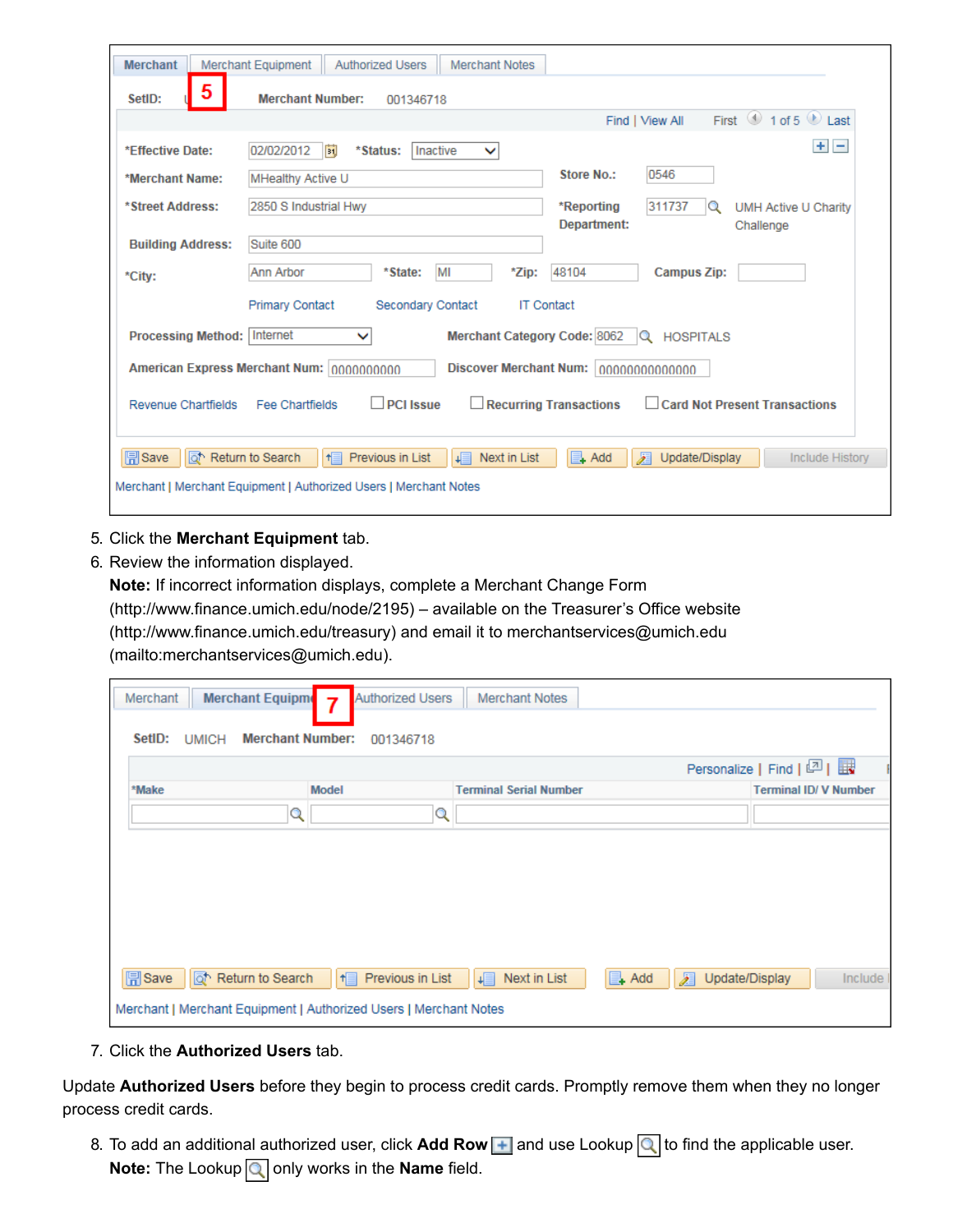| <b>Merchant</b>                                                                                  | <b>Merchant Equipment</b><br><b>Authorized Users</b><br><b>Merchant Notes</b>                                                                   |                                                                              |  |  |  |  |  |
|--------------------------------------------------------------------------------------------------|-------------------------------------------------------------------------------------------------------------------------------------------------|------------------------------------------------------------------------------|--|--|--|--|--|
| 5<br>SetID:                                                                                      | <b>Merchant Number:</b><br>001346718                                                                                                            |                                                                              |  |  |  |  |  |
|                                                                                                  |                                                                                                                                                 | First $\langle 0 \rangle$ 1 of 5 $\langle 0 \rangle$ Last<br>Find   View All |  |  |  |  |  |
| *Effective Date:                                                                                 | 02/02/2012<br>Inactive<br>FÜ<br>*Status:<br>$\checkmark$                                                                                        | $+ -$                                                                        |  |  |  |  |  |
| *Merchant Name:                                                                                  | <b>MHealthy Active U</b>                                                                                                                        | 0546<br>Store No.:                                                           |  |  |  |  |  |
| *Street Address:                                                                                 | 2850 S Industrial Hwy                                                                                                                           | 311737<br>*Reporting<br><b>UMH Active U Charity</b><br>Q                     |  |  |  |  |  |
| <b>Building Address:</b>                                                                         | Suite 600                                                                                                                                       | Department:<br>Challenge                                                     |  |  |  |  |  |
| *City:                                                                                           | MI<br>Ann Arbor<br>*State:<br>*Zip:                                                                                                             | 48104<br><b>Campus Zip:</b>                                                  |  |  |  |  |  |
| <b>Primary Contact</b><br><b>Secondary Contact</b><br><b>IT Contact</b>                          |                                                                                                                                                 |                                                                              |  |  |  |  |  |
| Processing Method:   Internet<br>Merchant Category Code: 8062<br><b>HOSPITALS</b><br>$\check{ }$ |                                                                                                                                                 |                                                                              |  |  |  |  |  |
| American Express Merchant Num: 0000000000<br><b>Discover Merchant Num:</b><br>00000000000000     |                                                                                                                                                 |                                                                              |  |  |  |  |  |
| <b>Revenue Chartfields</b>                                                                       | <b>PCI Issue</b><br>$\Box$ Recurring Transactions<br>Fee Chartfields                                                                            | Card Not Present Transactions                                                |  |  |  |  |  |
| <b>同</b> Save                                                                                    | o Return to Search<br>Previous in List<br>→■<br>Next in List<br>$H_{\Box}$<br>Merchant   Merchant Equipment   Authorized Users   Merchant Notes | $\Box$ Add<br>ℱ<br>Update/Display<br><b>Include History</b>                  |  |  |  |  |  |

- 5. Click the **Merchant Equipment** tab.
- 6. Review the information displayed.

**Note:** If incorrect information displays, complete a Merchant Change Form

[\(http://www.finance.umich.edu/node/2195\) – available on the Treasurer's](http://www.finance.umich.edu/node/2195) [Office website](http://www.finance.umich.edu/treasury) [\(http://www.finance.umich.edu/treasury\) and email it to merchantservices@umich.edu](mailto:merchantservices@umich.edu)

(mailto:merchantservices@umich.edu).

| Merchant    | <b>Merchant Equipme</b>                 | <b>Authorized Users</b><br>$\overline{\mathbf{z}}$                                                  | <b>Merchant Notes</b>         |                                   |         |
|-------------|-----------------------------------------|-----------------------------------------------------------------------------------------------------|-------------------------------|-----------------------------------|---------|
| SetID:      | <b>Merchant Number:</b><br><b>UMICH</b> | 001346718                                                                                           |                               |                                   |         |
|             |                                         |                                                                                                     |                               | Personalize   Find   2            |         |
| *Make       |                                         | <b>Model</b>                                                                                        | <b>Terminal Serial Number</b> | <b>Terminal ID/ V Number</b>      |         |
|             | Q                                       | Q                                                                                                   |                               |                                   |         |
| $\Box$ Save | Return to Search                        | Previous in List<br>$H \equiv$<br>Merchant   Merchant Equipment   Authorized Users   Merchant Notes | L∎<br>Next in List            | $\Box$ Add<br>ℱ<br>Update/Display | Include |

7. Click the **Authorized Users** tab.

Update **Authorized Users** before they begin to process credit cards. Promptly remove them when they no longer process credit cards.

8. To add an additional authorized user, click **Add Row | +** and use Lookup Q to find the applicable user. **Note:** The Lookup **q** only works in the **Name** field.